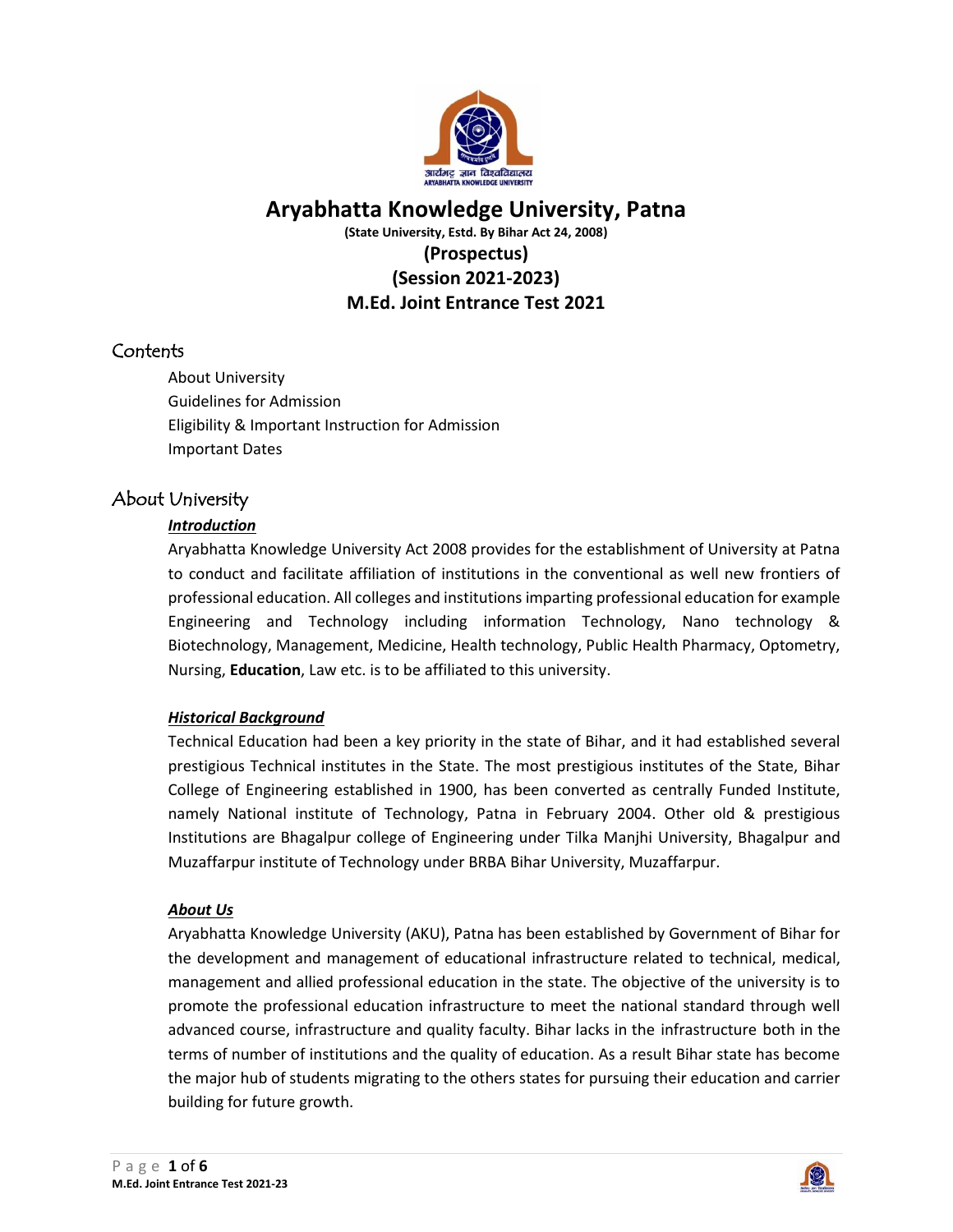

# **Aryabhatta Knowledge University, Patna**

**(State University, Estd. By Bihar Act 24, 2008)**

# **(Prospectus) (Session 2021-2023) M.Ed. Joint Entrance Test 2021**

# **Contents**

About University Guidelines for Admission Eligibility & Important Instruction for Admission Important Dates

# About University

# *Introduction*

Aryabhatta Knowledge University Act 2008 provides for the establishment of University at Patna to conduct and facilitate affiliation of institutions in the conventional as well new frontiers of professional education. All colleges and institutions imparting professional education for example Engineering and Technology including information Technology, Nano technology & Biotechnology, Management, Medicine, Health technology, Public Health Pharmacy, Optometry, Nursing, **Education**, Law etc. is to be affiliated to this university.

# *Historical Background*

Technical Education had been a key priority in the state of Bihar, and it had established several prestigious Technical institutes in the State. The most prestigious institutes of the State, Bihar College of Engineering established in 1900, has been converted as centrally Funded Institute, namely National institute of Technology, Patna in February 2004. Other old & prestigious Institutions are Bhagalpur college of Engineering under Tilka Manjhi University, Bhagalpur and Muzaffarpur institute of Technology under BRBA Bihar University, Muzaffarpur.

# *About Us*

Aryabhatta Knowledge University (AKU), Patna has been established by Government of Bihar for the development and management of educational infrastructure related to technical, medical, management and allied professional education in the state. The objective of the university is to promote the professional education infrastructure to meet the national standard through well advanced course, infrastructure and quality faculty. Bihar lacks in the infrastructure both in the terms of number of institutions and the quality of education. As a result Bihar state has become the major hub of students migrating to the others states for pursuing their education and carrier building for future growth.

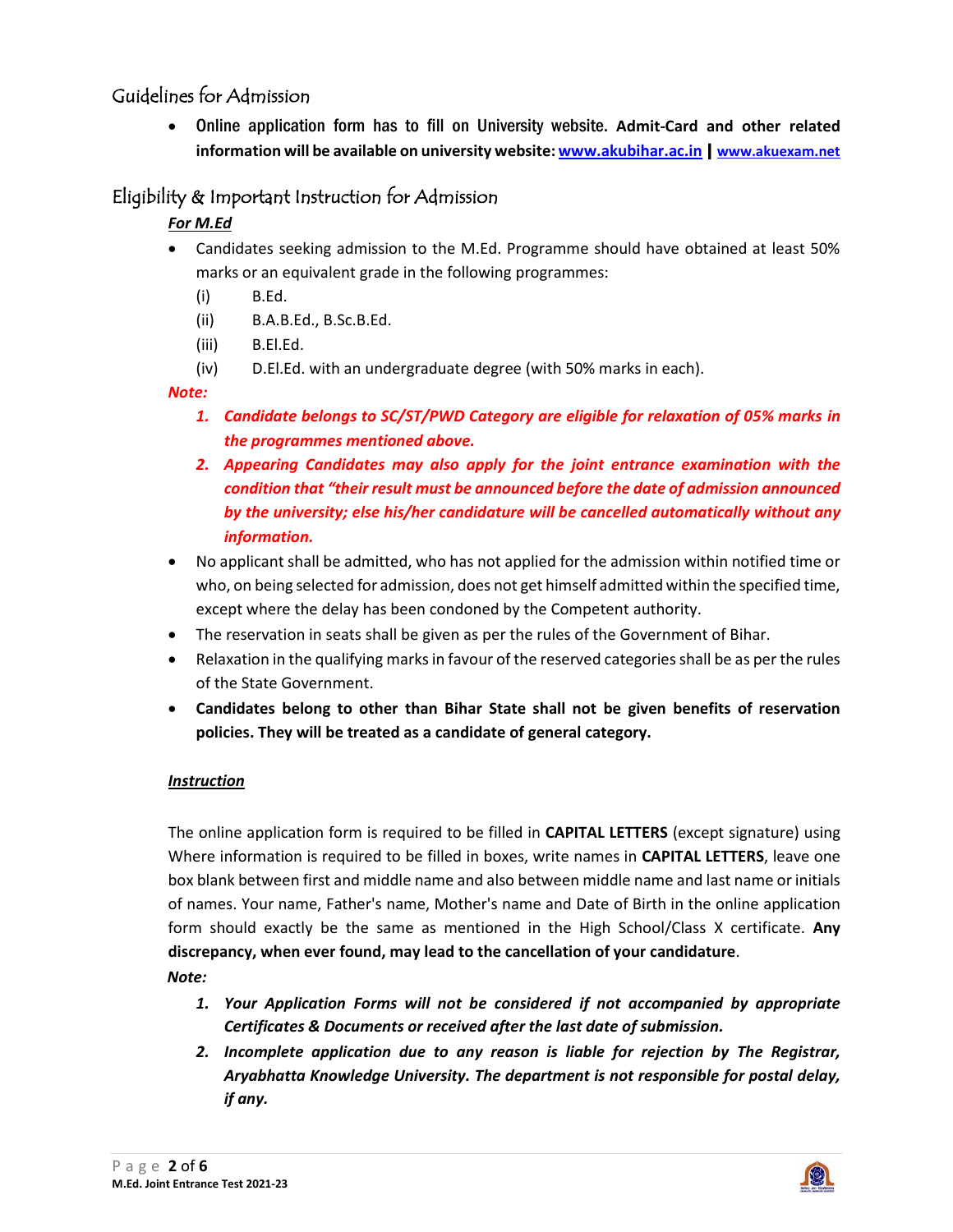# Guidelines for Admission

 Online application form has to fill on University website. **Admit-Card and other related information will be available on university website[: www.akubihar.ac.in](http://www.akubihar.ac.in/)** | **[www.akuexam.net](http://www.akuexam.net/)**

# Eligibility & Important Instruction for Admission

# *For M.Ed*

- Candidates seeking admission to the M.Ed. Programme should have obtained at least 50% marks or an equivalent grade in the following programmes:
	- (i) B.Ed.
	- (ii) B.A.B.Ed., B.Sc.B.Ed.
	- (iii) B.El.Ed.
	- (iv) D.El.Ed. with an undergraduate degree (with 50% marks in each).

# *Note:*

- *1. Candidate belongs to SC/ST/PWD Category are eligible for relaxation of 05% marks in the programmes mentioned above.*
- *2. Appearing Candidates may also apply for the joint entrance examination with the condition that "their result must be announced before the date of admission announced by the university; else his/her candidature will be cancelled automatically without any information.*
- No applicant shall be admitted, who has not applied for the admission within notified time or who, on being selected for admission, does not get himself admitted within the specified time, except where the delay has been condoned by the Competent authority.
- The reservation in seats shall be given as per the rules of the Government of Bihar.
- Relaxation in the qualifying marks in favour of the reserved categories shall be as per the rules of the State Government.
- **Candidates belong to other than Bihar State shall not be given benefits of reservation policies. They will be treated as a candidate of general category.**

# *Instruction*

The online application form is required to be filled in **CAPITAL LETTERS** (except signature) using Where information is required to be filled in boxes, write names in **CAPITAL LETTERS**, leave one box blank between first and middle name and also between middle name and last name or initials of names. Your name, Father's name, Mother's name and Date of Birth in the online application form should exactly be the same as mentioned in the High School/Class X certificate. **Any discrepancy, when ever found, may lead to the cancellation of your candidature**. *Note:*

- *1. Your Application Forms will not be considered if not accompanied by appropriate Certificates & Documents or received after the last date of submission.*
- *2. Incomplete application due to any reason is liable for rejection by The Registrar, Aryabhatta Knowledge University. The department is not responsible for postal delay, if any.*

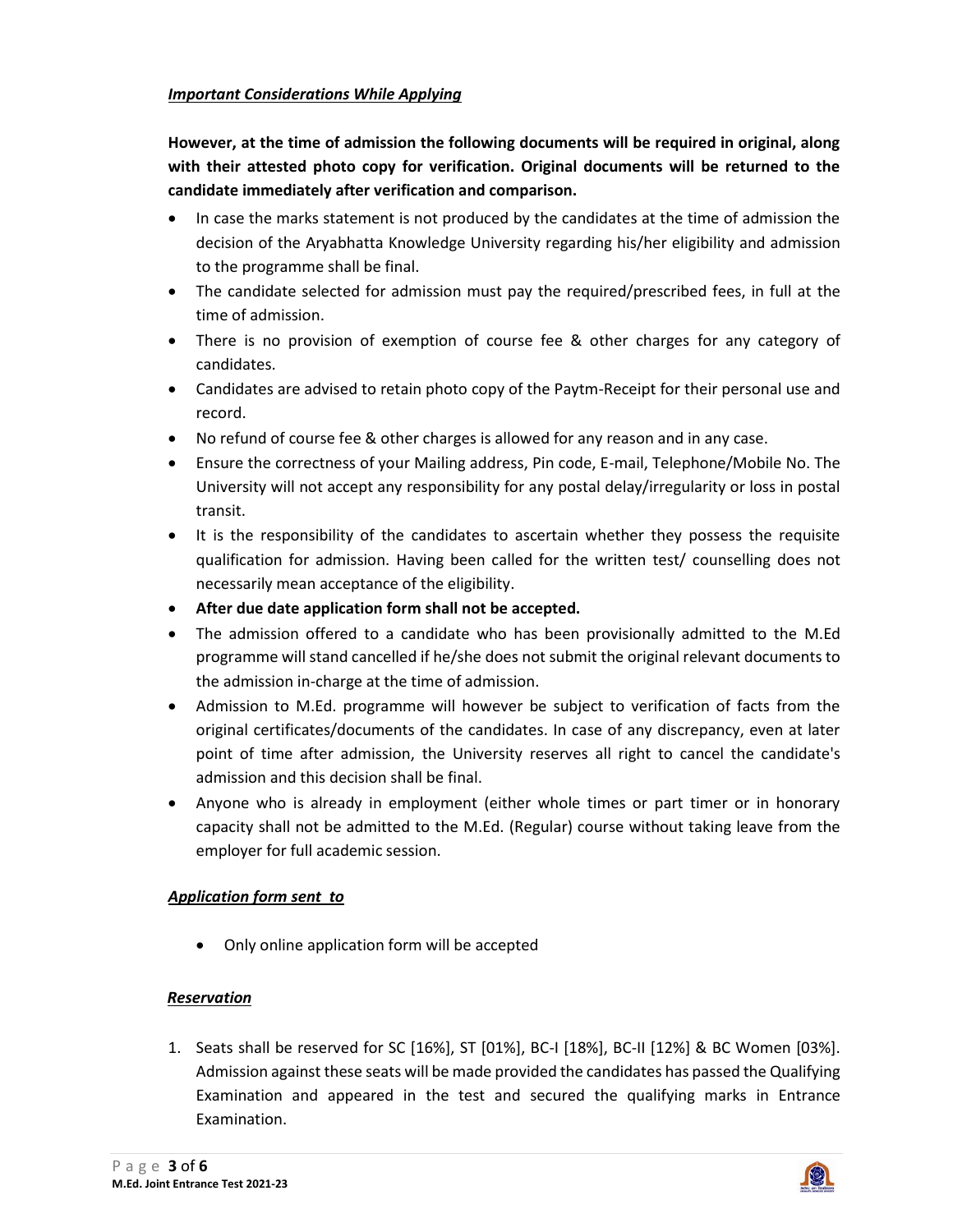### *Important Considerations While Applying*

**However, at the time of admission the following documents will be required in original, along with their attested photo copy for verification. Original documents will be returned to the candidate immediately after verification and comparison.**

- In case the marks statement is not produced by the candidates at the time of admission the decision of the Aryabhatta Knowledge University regarding his/her eligibility and admission to the programme shall be final.
- The candidate selected for admission must pay the required/prescribed fees, in full at the time of admission.
- There is no provision of exemption of course fee & other charges for any category of candidates.
- Candidates are advised to retain photo copy of the Paytm-Receipt for their personal use and record.
- No refund of course fee & other charges is allowed for any reason and in any case.
- Ensure the correctness of your Mailing address, Pin code, E-mail, Telephone/Mobile No. The University will not accept any responsibility for any postal delay/irregularity or loss in postal transit.
- It is the responsibility of the candidates to ascertain whether they possess the requisite qualification for admission. Having been called for the written test/ counselling does not necessarily mean acceptance of the eligibility.
- **After due date application form shall not be accepted.**
- The admission offered to a candidate who has been provisionally admitted to the M.Ed programme will stand cancelled if he/she does not submit the original relevant documents to the admission in-charge at the time of admission.
- Admission to M.Ed. programme will however be subject to verification of facts from the original certificates/documents of the candidates. In case of any discrepancy, even at later point of time after admission, the University reserves all right to cancel the candidate's admission and this decision shall be final.
- Anyone who is already in employment (either whole times or part timer or in honorary capacity shall not be admitted to the M.Ed. (Regular) course without taking leave from the employer for full academic session.

# *Application form sent to*

Only online application form will be accepted

# *Reservation*

1. Seats shall be reserved for SC [16%], ST [01%], BC-I [18%], BC-II [12%] & BC Women [03%]. Admission against these seats will be made provided the candidates has passed the Qualifying Examination and appeared in the test and secured the qualifying marks in Entrance Examination.

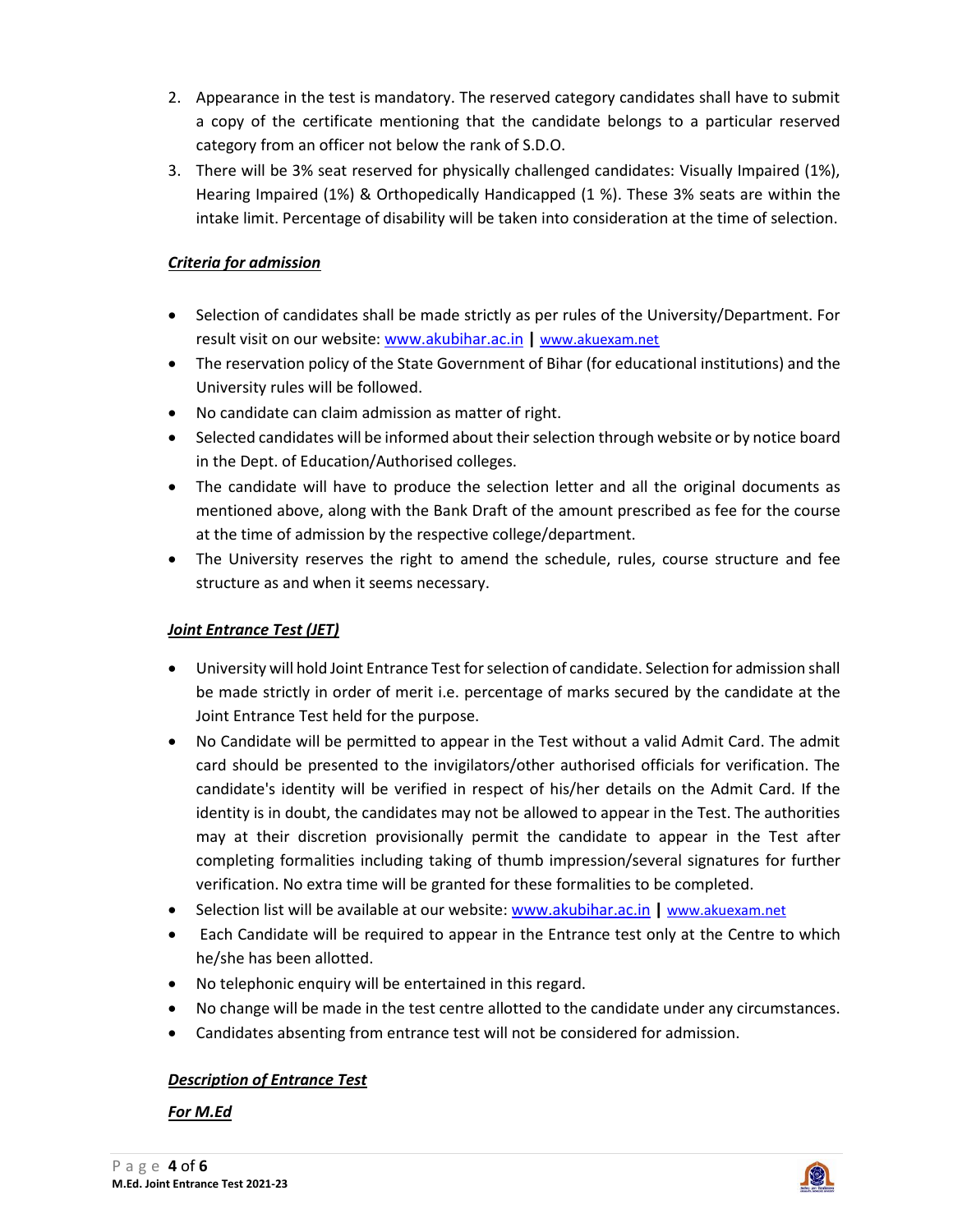- 2. Appearance in the test is mandatory. The reserved category candidates shall have to submit a copy of the certificate mentioning that the candidate belongs to a particular reserved category from an officer not below the rank of S.D.O.
- 3. There will be 3% seat reserved for physically challenged candidates: Visually Impaired (1%), Hearing Impaired (1%) & Orthopedically Handicapped (1 %). These 3% seats are within the intake limit. Percentage of disability will be taken into consideration at the time of selection.

## *Criteria for admission*

- Selection of candidates shall be made strictly as per rules of the University/Department. For result visit on our website: [www.akubihar.ac.in](http://www.akubihar.ac.in/) | [www.akuexam.net](http://www.akuexam.net/)
- The reservation policy of the State Government of Bihar (for educational institutions) and the University rules will be followed.
- No candidate can claim admission as matter of right.
- Selected candidates will be informed about their selection through website or by notice board in the Dept. of Education/Authorised colleges.
- The candidate will have to produce the selection letter and all the original documents as mentioned above, along with the Bank Draft of the amount prescribed as fee for the course at the time of admission by the respective college/department.
- The University reserves the right to amend the schedule, rules, course structure and fee structure as and when it seems necessary.

# *Joint Entrance Test (JET)*

- University will hold Joint Entrance Test for selection of candidate. Selection for admission shall be made strictly in order of merit i.e. percentage of marks secured by the candidate at the Joint Entrance Test held for the purpose.
- No Candidate will be permitted to appear in the Test without a valid Admit Card. The admit card should be presented to the invigilators/other authorised officials for verification. The candidate's identity will be verified in respect of his/her details on the Admit Card. If the identity is in doubt, the candidates may not be allowed to appear in the Test. The authorities may at their discretion provisionally permit the candidate to appear in the Test after completing formalities including taking of thumb impression/several signatures for further verification. No extra time will be granted for these formalities to be completed.
- Selection list will be available at our website[: www.akubihar.ac.in](http://www.akubihar.ac.in/) | [www.akuexam.net](http://www.akuexam.net/)
- Each Candidate will be required to appear in the Entrance test only at the Centre to which he/she has been allotted.
- No telephonic enquiry will be entertained in this regard.
- No change will be made in the test centre allotted to the candidate under any circumstances.
- Candidates absenting from entrance test will not be considered for admission.

# *Description of Entrance Test*

*For M.Ed*

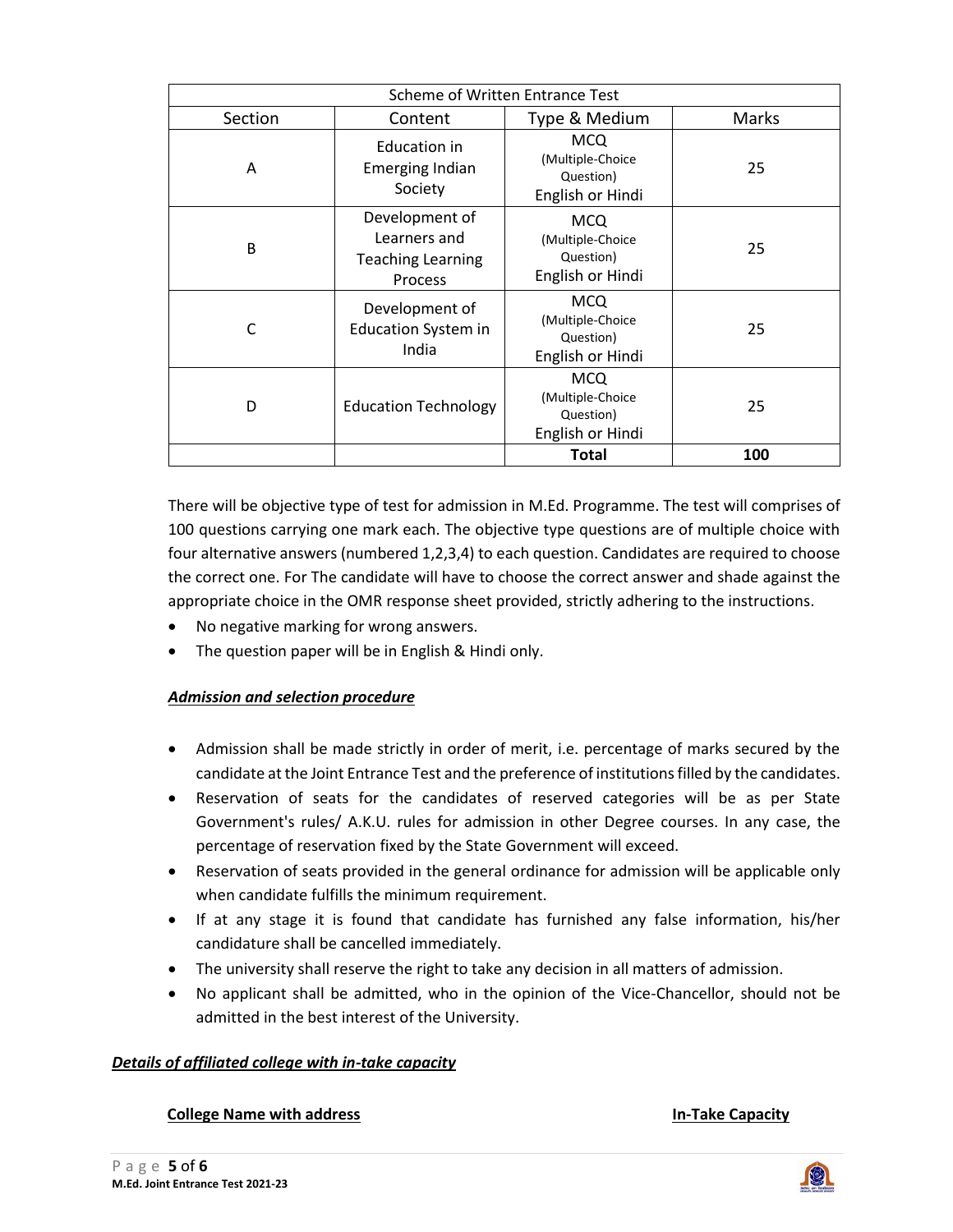| Scheme of Written Entrance Test |                                                                       |                                                                 |       |  |  |  |
|---------------------------------|-----------------------------------------------------------------------|-----------------------------------------------------------------|-------|--|--|--|
| Section                         | Content                                                               | Type & Medium                                                   | Marks |  |  |  |
| A                               | Education in<br><b>Emerging Indian</b><br>Society                     | <b>MCQ</b><br>(Multiple-Choice<br>Question)<br>English or Hindi | 25    |  |  |  |
| B                               | Development of<br>Learners and<br><b>Teaching Learning</b><br>Process | <b>MCQ</b><br>(Multiple-Choice<br>Question)<br>English or Hindi | 25    |  |  |  |
| C                               | Development of<br><b>Education System in</b><br>India                 | <b>MCQ</b><br>(Multiple-Choice<br>Question)<br>English or Hindi | 25    |  |  |  |
| D                               | <b>Education Technology</b>                                           | <b>MCQ</b><br>(Multiple-Choice<br>Question)<br>English or Hindi | 25    |  |  |  |
|                                 |                                                                       | <b>Total</b>                                                    | 100   |  |  |  |

There will be objective type of test for admission in M.Ed. Programme. The test will comprises of 100 questions carrying one mark each. The objective type questions are of multiple choice with four alternative answers (numbered 1,2,3,4) to each question. Candidates are required to choose the correct one. For The candidate will have to choose the correct answer and shade against the appropriate choice in the OMR response sheet provided, strictly adhering to the instructions.

- No negative marking for wrong answers.
- The question paper will be in English & Hindi only.

### *Admission and selection procedure*

- Admission shall be made strictly in order of merit, i.e. percentage of marks secured by the candidate at the Joint Entrance Test and the preference of institutions filled by the candidates.
- Reservation of seats for the candidates of reserved categories will be as per State Government's rules/ A.K.U. rules for admission in other Degree courses. In any case, the percentage of reservation fixed by the State Government will exceed.
- Reservation of seats provided in the general ordinance for admission will be applicable only when candidate fulfills the minimum requirement.
- If at any stage it is found that candidate has furnished any false information, his/her candidature shall be cancelled immediately.
- The university shall reserve the right to take any decision in all matters of admission.
- No applicant shall be admitted, who in the opinion of the Vice-Chancellor, should not be admitted in the best interest of the University.

### *Details of affiliated college with in-take capacity*

#### **College Name with address In-Take Capacity**